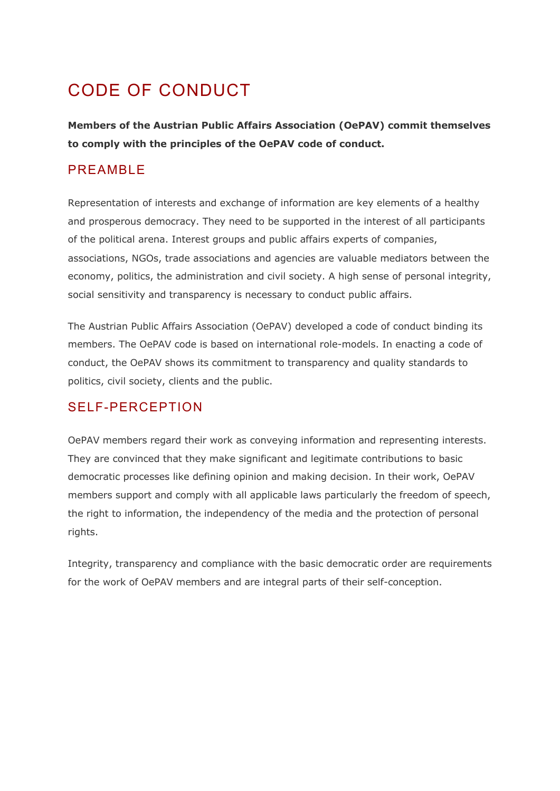# CODE OF CONDUCT

**Members of the Austrian Public Affairs Association (OePAV) commit themselves to comply with the principles of the OePAV code of conduct.**

# PREAMBLE

Representation of interests and exchange of information are key elements of a healthy and prosperous democracy. They need to be supported in the interest of all participants of the political arena. Interest groups and public affairs experts of companies, associations, NGOs, trade associations and agencies are valuable mediators between the economy, politics, the administration and civil society. A high sense of personal integrity, social sensitivity and transparency is necessary to conduct public affairs.

The Austrian Public Affairs Association (OePAV) developed a code of conduct binding its members. The OePAV code is based on international role-models. In enacting a code of conduct, the OePAV shows its commitment to transparency and quality standards to politics, civil society, clients and the public.

## SELF-PERCEPTION

OePAV members regard their work as conveying information and representing interests. They are convinced that they make significant and legitimate contributions to basic democratic processes like defining opinion and making decision. In their work, OePAV members support and comply with all applicable laws particularly the freedom of speech, the right to information, the independency of the media and the protection of personal rights.

Integrity, transparency and compliance with the basic democratic order are requirements for the work of OePAV members and are integral parts of their self-conception.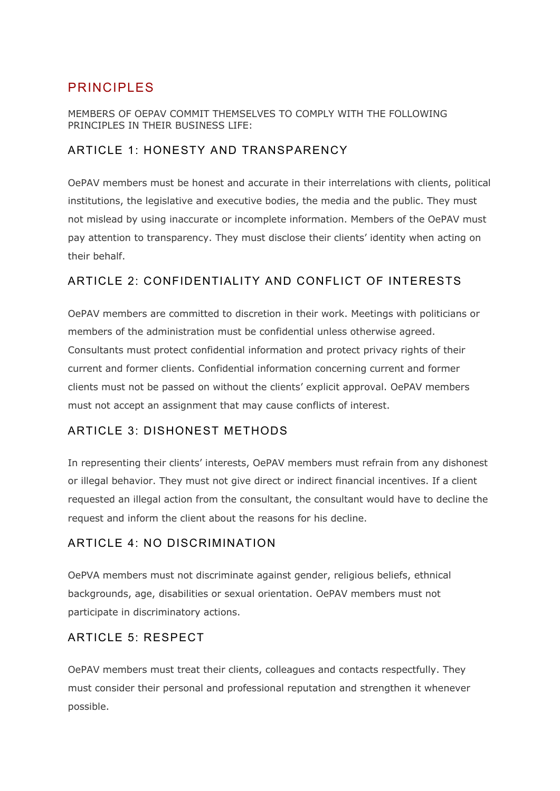# PRINCIPLES

#### MEMBERS OF OEPAV COMMIT THEMSELVES TO COMPLY WITH THE FOLLOWING PRINCIPLES IN THEIR BUSINESS LIFE:

#### ARTICLE 1: HONESTY AND TRANSPARENCY

OePAV members must be honest and accurate in their interrelations with clients, political institutions, the legislative and executive bodies, the media and the public. They must not mislead by using inaccurate or incomplete information. Members of the OePAV must pay attention to transparency. They must disclose their clients' identity when acting on their behalf.

#### ARTICLE 2: CONFIDENTIALITY AND CONFLICT OF INTERESTS

OePAV members are committed to discretion in their work. Meetings with politicians or members of the administration must be confidential unless otherwise agreed. Consultants must protect confidential information and protect privacy rights of their current and former clients. Confidential information concerning current and former clients must not be passed on without the clients' explicit approval. OePAV members must not accept an assignment that may cause conflicts of interest.

#### ARTICLE 3: DISHONEST METHODS

In representing their clients' interests, OePAV members must refrain from any dishonest or illegal behavior. They must not give direct or indirect financial incentives. If a client requested an illegal action from the consultant, the consultant would have to decline the request and inform the client about the reasons for his decline.

#### ARTICLE 4: NO DISCRIMINATION

OePVA members must not discriminate against gender, religious beliefs, ethnical backgrounds, age, disabilities or sexual orientation. OePAV members must not participate in discriminatory actions.

#### ARTICLE 5: RESPECT

OePAV members must treat their clients, colleagues and contacts respectfully. They must consider their personal and professional reputation and strengthen it whenever possible.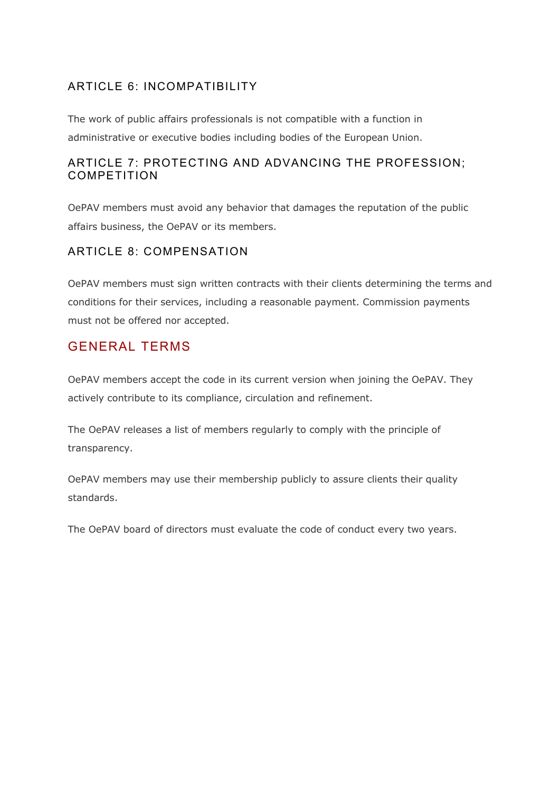#### ARTICLE 6: INCOMPATIBILITY

The work of public affairs professionals is not compatible with a function in administrative or executive bodies including bodies of the European Union.

#### ARTICLE 7: PROTECTING AND ADVANCING THE PROFESSION; COMPETITION

OePAV members must avoid any behavior that damages the reputation of the public affairs business, the OePAV or its members.

#### ARTICLE 8: COMPENSATION

OePAV members must sign written contracts with their clients determining the terms and conditions for their services, including a reasonable payment. Commission payments must not be offered nor accepted.

## GENERAL TERMS

OePAV members accept the code in its current version when joining the OePAV. They actively contribute to its compliance, circulation and refinement.

The OePAV releases a list of members regularly to comply with the principle of transparency.

OePAV members may use their membership publicly to assure clients their quality standards.

The OePAV board of directors must evaluate the code of conduct every two years.